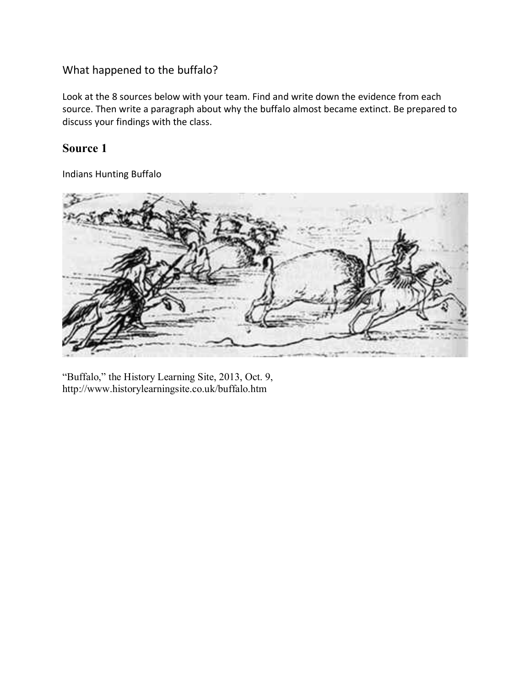### What happened to the buffalo?

Look at the 8 sources below with your team. Find and write down the evidence from each source. Then write a paragraph about why the buffalo almost became extinct. Be prepared to discuss your findings with the class.

### **Source 1**

Indians Hunting Buffalo



"Buffalo," the History Learning Site, 2013, Oct. 9, http://www.historylearningsite.co.uk/buffalo.htm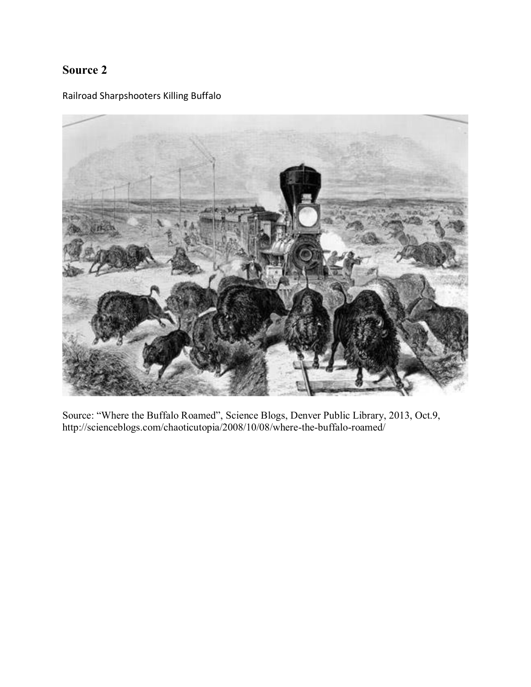Railroad Sharpshooters Killing Buffalo



Source: "Where the Buffalo Roamed", Science Blogs, Denver Public Library, 2013, Oct.9, http://scienceblogs.com/chaoticutopia/2008/10/08/where-the-buffalo-roamed/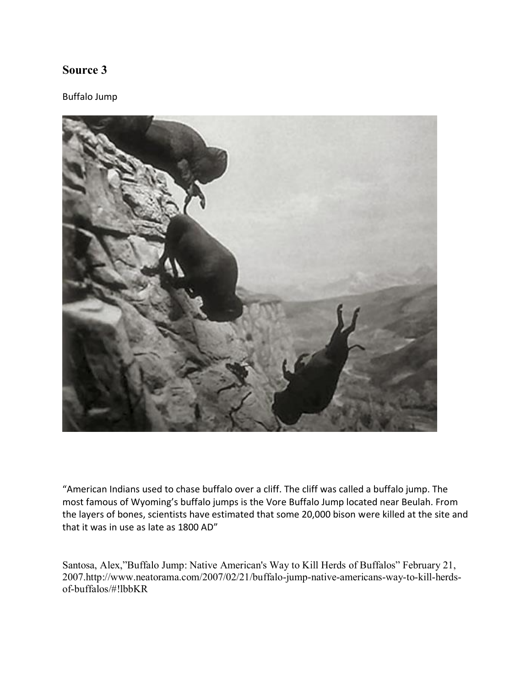#### Buffalo Jump



"American Indians used to chase buffalo over a cliff. The cliff was called a buffalo jump. The most famous of Wyoming's buffalo jumps is the Vore Buffalo Jump located near Beulah. From the layers of bones, scientists have estimated that some 20,000 bison were killed at the site and that it was in use as late as 1800 AD"

Santosa, Alex,"Buffalo Jump: Native American's Way to Kill Herds of Buffalos" February 21, 2007.http://www.neatorama.com/2007/02/21/buffalo-jump-native-americans-way-to-kill-herdsof-buffalos/#!lbbKR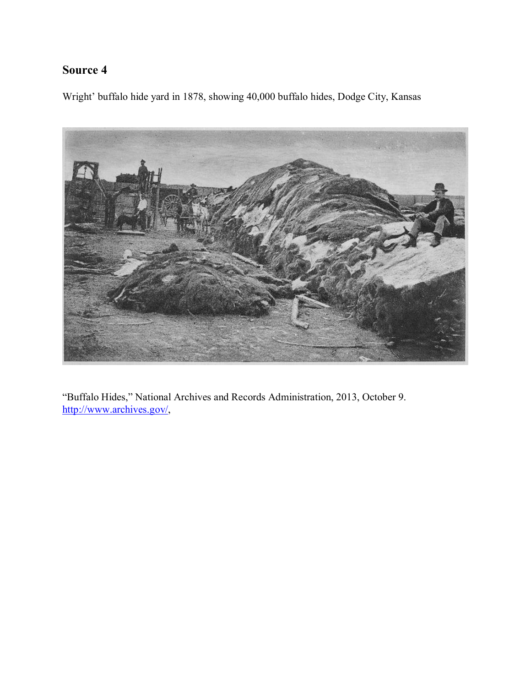Wright' buffalo hide yard in 1878, showing 40,000 buffalo hides, Dodge City, Kansas



"Buffalo Hides," National Archives and Records Administration, 2013, October 9. [http://www.archives.gov/,](http://www.archives.gov/)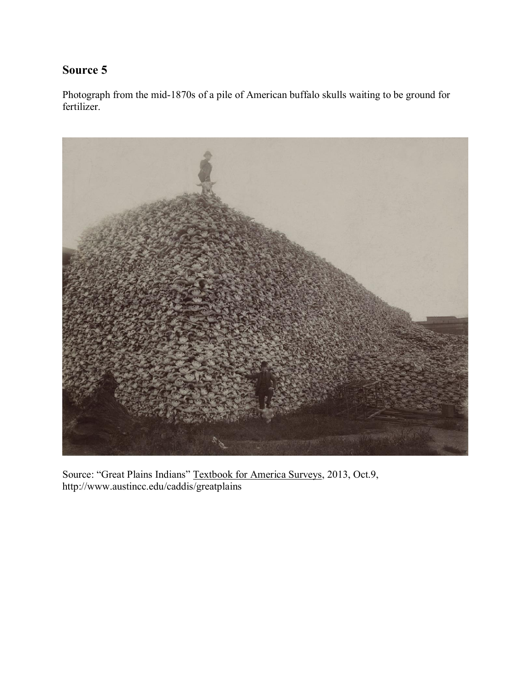Photograph from the mid-1870s of a pile of American buffalo skulls waiting to be ground for fertilizer.



Source: "Great Plains Indians" Textbook for America Surveys, 2013, Oct.9, http://www.austincc.edu/caddis/greatplains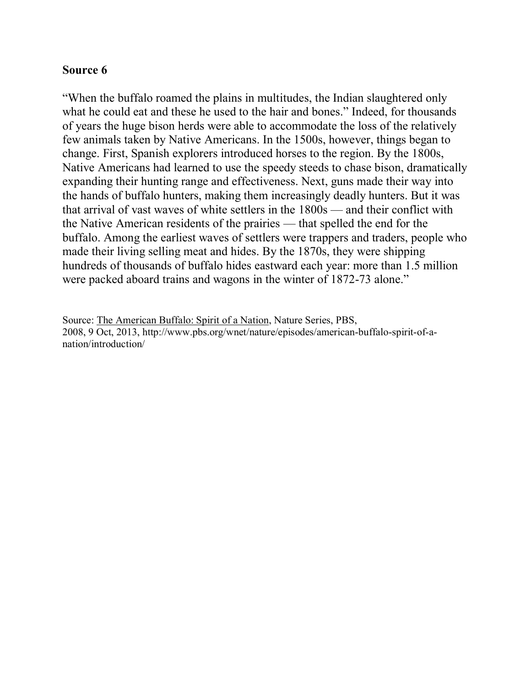"When the buffalo roamed the plains in multitudes, the Indian slaughtered only what he could eat and these he used to the hair and bones." Indeed, for thousands of years the huge bison herds were able to accommodate the loss of the relatively few animals taken by Native Americans. In the 1500s, however, things began to change. First, Spanish explorers introduced horses to the region. By the 1800s, Native Americans had learned to use the speedy steeds to chase bison, dramatically expanding their hunting range and effectiveness. Next, guns made their way into the hands of buffalo hunters, making them increasingly deadly hunters. But it was that arrival of vast waves of white settlers in the 1800s — and their conflict with the Native American residents of the prairies — that spelled the end for the buffalo. Among the earliest waves of settlers were trappers and traders, people who made their living selling meat and hides. By the 1870s, they were shipping hundreds of thousands of buffalo hides eastward each year: more than 1.5 million were packed aboard trains and wagons in the winter of 1872-73 alone."

Source: The American Buffalo: Spirit of a Nation, Nature Series, PBS, 2008, 9 Oct, 2013, http://www.pbs.org/wnet/nature/episodes/american-buffalo-spirit-of-anation/introduction/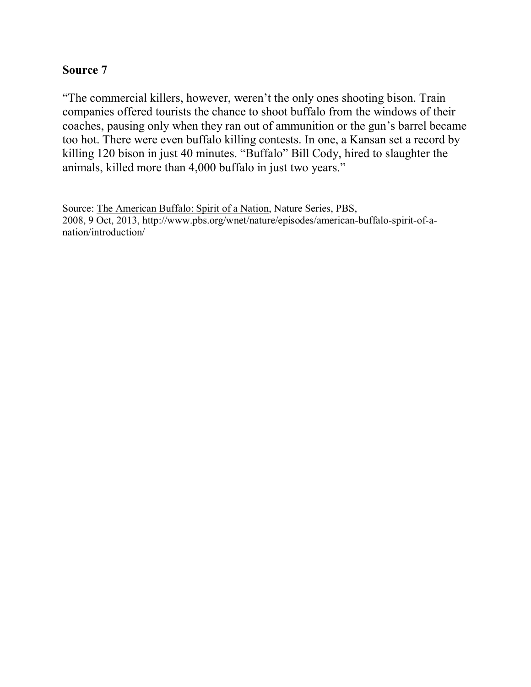"The commercial killers, however, weren't the only ones shooting bison. Train companies offered tourists the chance to shoot buffalo from the windows of their coaches, pausing only when they ran out of ammunition or the gun's barrel became too hot. There were even buffalo killing contests. In one, a Kansan set a record by killing 120 bison in just 40 minutes. "Buffalo" Bill Cody, hired to slaughter the animals, killed more than 4,000 buffalo in just two years."

Source: The American Buffalo: Spirit of a Nation, Nature Series, PBS, 2008, 9 Oct, 2013, http://www.pbs.org/wnet/nature/episodes/american-buffalo-spirit-of-anation/introduction/